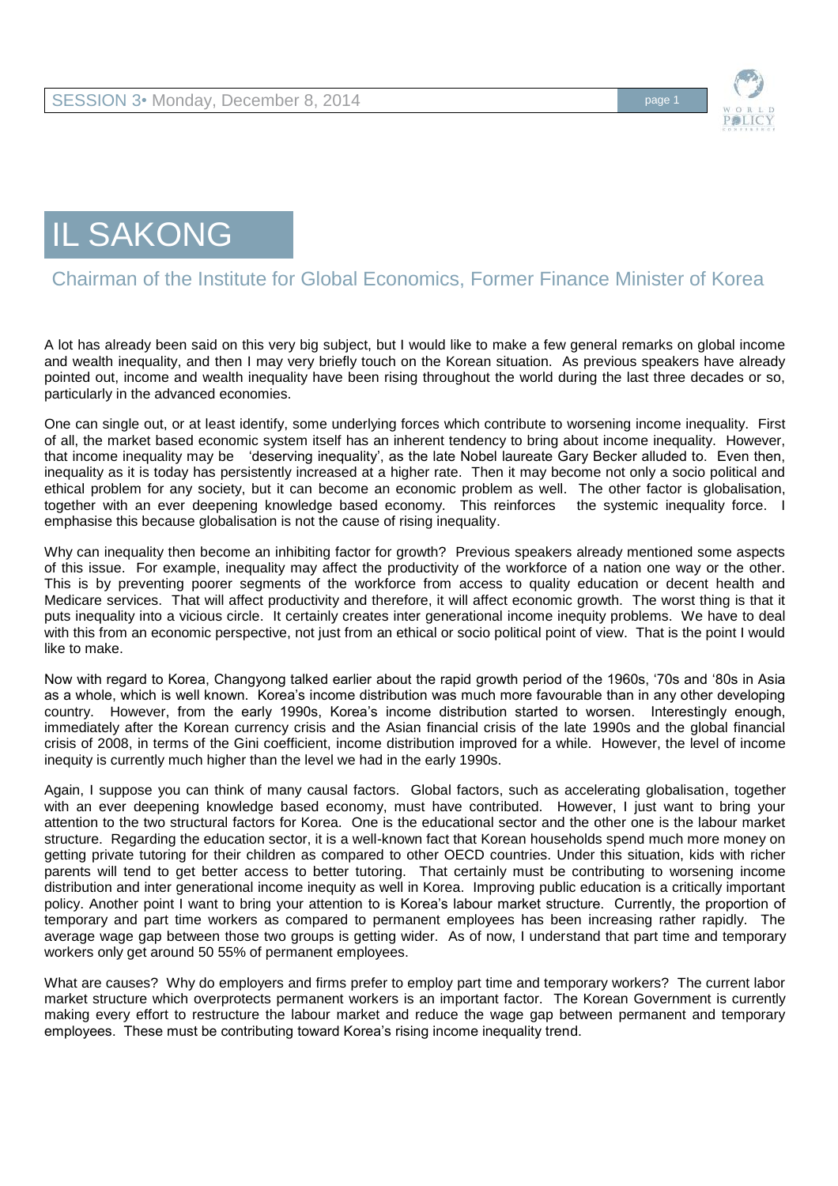

## IL SAKONG

## Chairman of the Institute for Global Economics, Former Finance Minister of Korea

A lot has already been said on this very big subject, but I would like to make a few general remarks on global income and wealth inequality, and then I may very briefly touch on the Korean situation. As previous speakers have already pointed out, income and wealth inequality have been rising throughout the world during the last three decades or so, particularly in the advanced economies.

One can single out, or at least identify, some underlying forces which contribute to worsening income inequality. First of all, the market based economic system itself has an inherent tendency to bring about income inequality. However, that income inequality may be 'deserving inequality', as the late Nobel laureate Gary Becker alluded to. Even then, inequality as it is today has persistently increased at a higher rate. Then it may become not only a socio political and ethical problem for any society, but it can become an economic problem as well. The other factor is globalisation, together with an ever deepening knowledge based economy. This reinforces the systemic inequality force. I emphasise this because globalisation is not the cause of rising inequality.

Why can inequality then become an inhibiting factor for growth? Previous speakers already mentioned some aspects of this issue. For example, inequality may affect the productivity of the workforce of a nation one way or the other. This is by preventing poorer segments of the workforce from access to quality education or decent health and Medicare services. That will affect productivity and therefore, it will affect economic growth. The worst thing is that it puts inequality into a vicious circle. It certainly creates inter generational income inequity problems. We have to deal with this from an economic perspective, not just from an ethical or socio political point of view. That is the point I would like to make.

Now with regard to Korea, Changyong talked earlier about the rapid growth period of the 1960s, '70s and '80s in Asia as a whole, which is well known. Korea's income distribution was much more favourable than in any other developing country. However, from the early 1990s, Korea's income distribution started to worsen. Interestingly enough, immediately after the Korean currency crisis and the Asian financial crisis of the late 1990s and the global financial crisis of 2008, in terms of the Gini coefficient, income distribution improved for a while. However, the level of income inequity is currently much higher than the level we had in the early 1990s.

Again, I suppose you can think of many causal factors. Global factors, such as accelerating globalisation, together with an ever deepening knowledge based economy, must have contributed. However, I just want to bring your attention to the two structural factors for Korea. One is the educational sector and the other one is the labour market structure. Regarding the education sector, it is a well-known fact that Korean households spend much more money on getting private tutoring for their children as compared to other OECD countries. Under this situation, kids with richer parents will tend to get better access to better tutoring. That certainly must be contributing to worsening income distribution and inter generational income inequity as well in Korea. Improving public education is a critically important policy. Another point I want to bring your attention to is Korea's labour market structure. Currently, the proportion of temporary and part time workers as compared to permanent employees has been increasing rather rapidly. The average wage gap between those two groups is getting wider. As of now, I understand that part time and temporary workers only get around 50 55% of permanent employees.

What are causes? Why do employers and firms prefer to employ part time and temporary workers? The current labor market structure which overprotects permanent workers is an important factor. The Korean Government is currently making every effort to restructure the labour market and reduce the wage gap between permanent and temporary employees. These must be contributing toward Korea's rising income inequality trend.